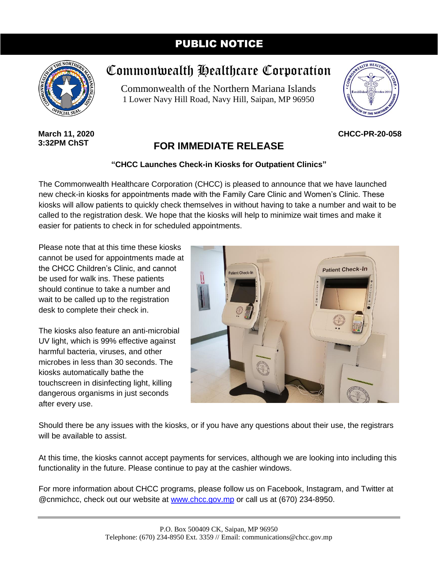## PUBLIC NOTICE



# Commonwealth Healthcare Corporation

Commonwealth of the Northern Mariana Islands 1 Lower Navy Hill Road, Navy Hill, Saipan, MP 96950



**CHCC-PR-20-058**

#### **March 11, 2020 3:32PM ChST**

## **FOR IMMEDIATE RELEASE**

### **"CHCC Launches Check-in Kiosks for Outpatient Clinics"**

The Commonwealth Healthcare Corporation (CHCC) is pleased to announce that we have launched new check-in kiosks for appointments made with the Family Care Clinic and Women's Clinic. These kiosks will allow patients to quickly check themselves in without having to take a number and wait to be called to the registration desk. We hope that the kiosks will help to minimize wait times and make it easier for patients to check in for scheduled appointments.

Please note that at this time these kiosks cannot be used for appointments made at the CHCC Children's Clinic, and cannot be used for walk ins. These patients should continue to take a number and wait to be called up to the registration desk to complete their check in.

The kiosks also feature an anti-microbial UV light, which is 99% effective against harmful bacteria, viruses, and other microbes in less than 30 seconds. The kiosks automatically bathe the touchscreen in disinfecting light, killing dangerous organisms in just seconds after every use.



Should there be any issues with the kiosks, or if you have any questions about their use, the registrars will be available to assist.

At this time, the kiosks cannot accept payments for services, although we are looking into including this functionality in the future. Please continue to pay at the cashier windows.

For more information about CHCC programs, please follow us on Facebook, Instagram, and Twitter at @cnmichcc, check out our website at [www.chcc.gov.mp](http://www.chcc.gov.mp/) or call us at (670) 234-8950.